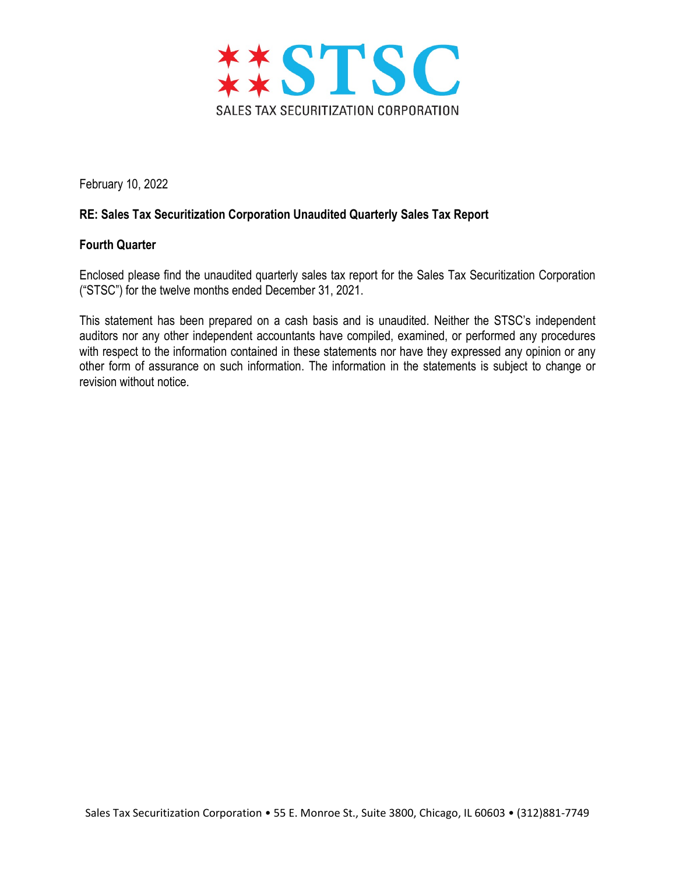

February 10, 2022

## RE: Sales Tax Securitization Corporation Unaudited Quarterly Sales Tax Report

## Fourth Quarter

Enclosed please find the unaudited quarterly sales tax report for the Sales Tax Securitization Corporation ("STSC") for the twelve months ended December 31, 2021.

This statement has been prepared on a cash basis and is unaudited. Neither the STSC's independent auditors nor any other independent accountants have compiled, examined, or performed any procedures with respect to the information contained in these statements nor have they expressed any opinion or any other form of assurance on such information. The information in the statements is subject to change or revision without notice.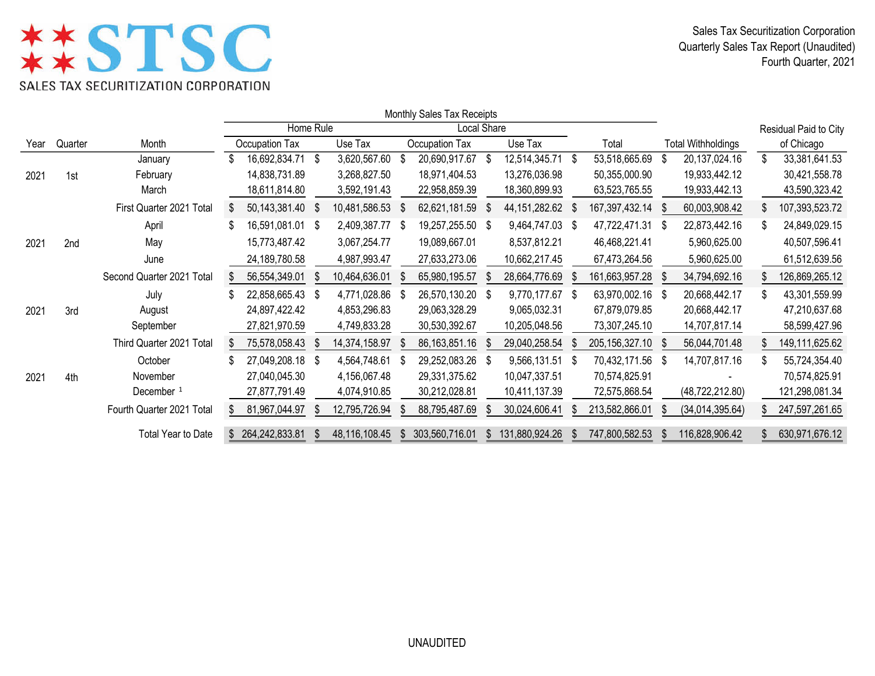## **\*\*STSC** SALES TAX SECURITIZATION CORPORATION

Sales Tax Securitization Corporation Quarterly Sales Tax Report (Unaudited) Fourth Quarter, 2021

|      |                 |                           |                | Monthly Sales Tax Receipts |  |                 |      |                  |      |                  |      |                |               |                           |     |                       |
|------|-----------------|---------------------------|----------------|----------------------------|--|-----------------|------|------------------|------|------------------|------|----------------|---------------|---------------------------|-----|-----------------------|
|      |                 |                           |                | Home Rule                  |  | Local Share     |      |                  |      |                  |      |                |               |                           |     | Residual Paid to City |
| Year | Quarter         | Month                     | Occupation Tax |                            |  | Use Tax         |      | Occupation Tax   |      | Use Tax          |      | Total          |               | <b>Total Withholdings</b> |     | of Chicago            |
|      |                 | January                   |                | 16,692,834.71 \$           |  | 3,620,567.60    | - \$ | 20,690,917.67    | - \$ | 12,514,345.71 \$ |      | 53,518,665.69  | S             | 20, 137, 024. 16          | \$  | 33,381,641.53         |
| 2021 | 1st             | February                  |                | 14,838,731.89              |  | 3,268,827.50    |      | 18,971,404.53    |      | 13,276,036.98    |      | 50,355,000.90  |               | 19,933,442.12             |     | 30,421,558.78         |
|      |                 | March                     |                | 18,611,814.80              |  | 3,592,191.43    |      | 22,958,859.39    |      | 18,360,899.93    |      | 63,523,765.55  |               | 19,933,442.13             |     | 43,590,323.42         |
|      |                 | First Quarter 2021 Total  | \$             | 50, 143, 381. 40 \$        |  | 10,481,586.53   | - \$ | 62,621,181.59    | - \$ | 44, 151, 282. 62 | - \$ | 167,397,432.14 | - \$          | 60,003,908.42             | S.  | 107,393,523.72        |
|      |                 | April                     |                | 16,591,081.01 \$           |  | 2,409,387.77 \$ |      | 19,257,255.50 \$ |      | 9,464,747.03     | - \$ | 47,722,471.31  | - \$          | 22,873,442.16             | S   | 24,849,029.15         |
| 2021 | 2 <sub>nd</sub> | May                       |                | 15,773,487.42              |  | 3,067,254.77    |      | 19,089,667.01    |      | 8,537,812.21     |      | 46,468,221.41  |               | 5,960,625.00              |     | 40,507,596.41         |
|      |                 | June                      |                | 24,189,780.58              |  | 4,987,993.47    |      | 27,633,273.06    |      | 10,662,217.45    |      | 67,473,264.56  |               | 5,960,625.00              |     | 61,512,639.56         |
|      |                 | Second Quarter 2021 Total | \$.            | 56,554,349.01              |  | 10,464,636.01   |      | 65,980,195.57    |      | 28,664,776.69    |      | 161,663,957.28 |               | 34,794,692.16             |     | 126,869,265.12        |
|      |                 | July                      |                | 22,858,665.43 \$           |  | 4,771,028.86    | - \$ | 26,570,130.20 \$ |      | 9,770,177.67     | - \$ | 63,970,002.16  | - \$          | 20,668,442.17             |     | 43,301,559.99         |
| 2021 | 3rd             | August                    |                | 24,897,422.42              |  | 4,853,296.83    |      | 29,063,328.29    |      | 9,065,032.31     |      | 67,879,079.85  |               | 20,668,442.17             |     | 47,210,637.68         |
|      |                 | September                 |                | 27,821,970.59              |  | 4,749,833.28    |      | 30,530,392.67    |      | 10,205,048.56    |      | 73,307,245.10  |               | 14,707,817.14             |     | 58,599,427.96         |
|      |                 | Third Quarter 2021 Total  |                | 75,578,058.43              |  | 14,374,158.97   |      | 86, 163, 851. 16 |      | 29,040,258.54    |      | 205,156,327.10 |               | 56,044,701.48             |     | 149,111,625.62        |
|      |                 | October                   |                | 27,049,208.18 \$           |  | 4,564,748.61    | - \$ | 29,252,083.26    | - \$ | 9,566,131.51 \$  |      | 70,432,171.56  | \$            | 14,707,817.16             |     | 55,724,354.40         |
| 2021 | 4th             | November                  |                | 27,040,045.30              |  | 4,156,067.48    |      | 29,331,375.62    |      | 10,047,337.51    |      | 70,574,825.91  |               |                           |     | 70,574,825.91         |
|      |                 | December <sup>1</sup>     |                | 27,877,791.49              |  | 4,074,910.85    |      | 30,212,028.81    |      | 10,411,137.39    |      | 72,575,868.54  |               | (48, 722, 212.80)         |     | 121,298,081.34        |
|      |                 | Fourth Quarter 2021 Total | \$.            | 81,967,044.97              |  | 12,795,726.94   | ß.   | 88,795,487.69    | \$.  | 30,024,606.41    | S.   | 213,582,866.01 |               | (34,014,395.64)           | \$. | 247,597,261.65        |
|      |                 | Total Year to Date        | \$             | 264,242,833.81             |  | 48,116,108.45   | \$   | 303,560,716.01   |      | 131,880,924.26   |      | 747,800,582.53 | $\mathcal{P}$ | 116,828,906.42            |     | 630,971,676.12        |

UNAUDITED